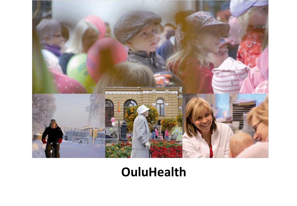

# **OuluHealth**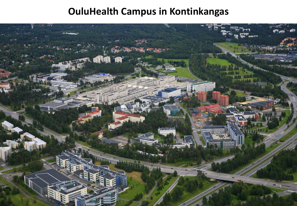## **OuluHealth Campus in Kontinkangas**

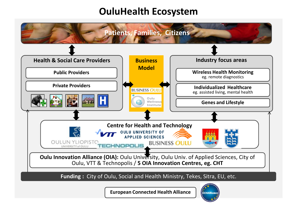#### **OuluHealth Ecosystem**

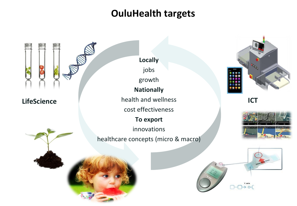#### **OuluHealth targets**

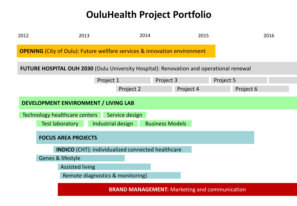## **OuluHealth Project Portfolio**